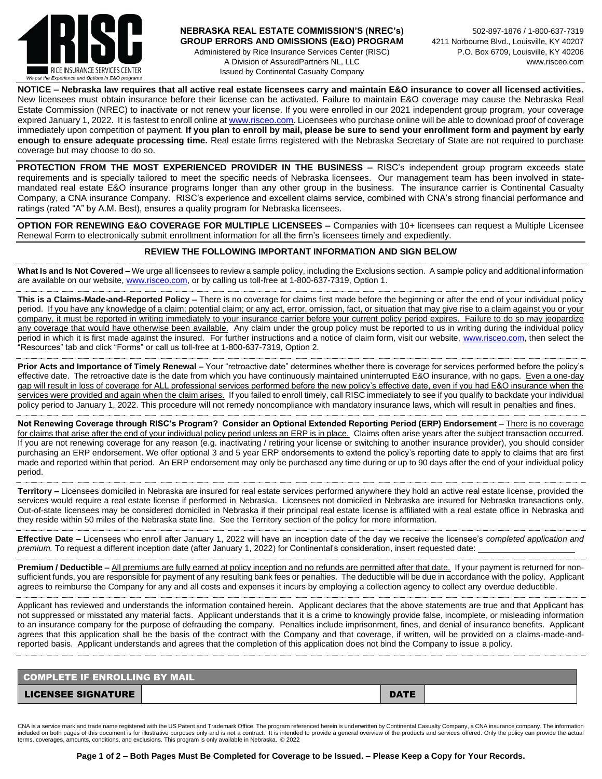

## **NEBRASKA REAL ESTATE COMMISSION'S (NREC's)** 502-897-1876 / 1-800-637-7319 GROUP ERRORS AND OMISSIONS (E&O) PROGRAM 4211 Norbourne Blvd., Louisville, KY 40207 Administered by Rice Insurance Services Center (RISC) P.O. Box 6709, Louisville, KY 40206 A Division of AssuredPartners NL, LLC www.risceo.com Issued by Continental Casualty Company

**NOTICE – Nebraska law requires that all active real estate licensees carry and maintain E&O insurance to cover all licensed activities.**  New licensees must obtain insurance before their license can be activated. Failure to maintain E&O coverage may cause the Nebraska Real Estate Commission (NREC) to inactivate or not renew your license. If you were enrolled in our 2021 independent group program, your coverage expired January 1, 2022. It is fastest to enroll online at [www.risceo.com.](http://www.risceo.com/) Licensees who purchase online will be able to download proof of coverage immediately upon competition of payment. **If you plan to enroll by mail, please be sure to send your enrollment form and payment by early enough to ensure adequate processing time.** Real estate firms registered with the Nebraska Secretary of State are not required to purchase coverage but may choose to do so.

**PROTECTION FROM THE MOST EXPERIENCED PROVIDER IN THE BUSINESS –** RISC's independent group program exceeds state requirements and is specially tailored to meet the specific needs of Nebraska licensees. Our management team has been involved in statemandated real estate E&O insurance programs longer than any other group in the business. The insurance carrier is Continental Casualty Company, a CNA insurance Company. RISC's experience and excellent claims service, combined with CNA's strong financial performance and ratings (rated "A" by A.M. Best), ensures a quality program for Nebraska licensees.

**OPTION FOR RENEWING E&O COVERAGE FOR MULTIPLE LICENSEES –** Companies with 10+ licensees can request a Multiple Licensee Renewal Form to electronically submit enrollment information for all the firm's licensees timely and expediently.

## **REVIEW THE FOLLOWING IMPORTANT INFORMATION AND SIGN BELOW**

**What Is and Is Not Covered –** We urge all licensees to review a sample policy, including the Exclusions section. A sample policy and additional information are available on our website[, www.risceo.com,](http://www.risceo.com/) or by calling us toll-free at 1-800-637-7319, Option 1.

**This is a Claims-Made-and-Reported Policy –** There is no coverage for claims first made before the beginning or after the end of your individual policy period. If you have any knowledge of a claim; potential claim; or any act, error, omission, fact, or situation that may give rise to a claim against you or your company, it must be reported in writing immediately to your insurance carrier before your current policy period expires. Failure to do so may jeopardize any coverage that would have otherwise been available. Any claim under the group policy must be reported to us in writing during the individual policy period in which it is first made against the insured. For further instructions and a notice of claim form, visit our website, [www.risceo.com,](http://www.risceo.com/notice-of-claim-form) then select the "Resources" tab and click "Forms" or call us toll-free at 1-800-637-7319, Option 2.

**Prior Acts and Importance of Timely Renewal –** Your "retroactive date" determines whether there is coverage for services performed before the policy's effective date. The retroactive date is the date from which you have continuously maintained uninterrupted E&O insurance, with no gaps. Even a one-day gap will result in loss of coverage for ALL professional services performed before the new policy's effective date, even if you had E&O insurance when the services were provided and again when the claim arises. If you failed to enroll timely, call RISC immediately to see if you qualify to backdate your individual policy period to January 1, 2022. This procedure will not remedy noncompliance with mandatory insurance laws, which will result in penalties and fines.

**Not Renewing Coverage through RISC's Program? Consider an Optional Extended Reporting Period (ERP) Endorsement –** There is no coverage for claims that arise after the end of your individual policy period unless an ERP is in place. Claims often arise years after the subject transaction occurred. If you are not renewing coverage for any reason (e.g. inactivating / retiring your license or switching to another insurance provider), you should consider purchasing an ERP endorsement. We offer optional 3 and 5 year ERP endorsements to extend the policy's reporting date to apply to claims that are first made and reported within that period. An ERP endorsement may only be purchased any time during or up to 90 days after the end of your individual policy period.

**Territory –** Licensees domiciled in Nebraska are insured for real estate services performed anywhere they hold an active real estate license, provided the services would require a real estate license if performed in Nebraska. Licensees not domiciled in Nebraska are insured for Nebraska transactions only. Out-of-state licensees may be considered domiciled in Nebraska if their principal real estate license is affiliated with a real estate office in Nebraska and they reside within 50 miles of the Nebraska state line. See the Territory section of the policy for more information.

**Effective Date –** Licensees who enroll after January 1, 2022 will have an inception date of the day we receive the licensee's *completed application and premium.* To request a different inception date (after January 1, 2022) for Continental's consideration, insert requested date:

Premium / Deductible - All premiums are fully earned at policy inception and no refunds are permitted after that date. If your payment is returned for nonsufficient funds, you are responsible for payment of any resulting bank fees or penalties. The deductible will be due in accordance with the policy. Applicant agrees to reimburse the Company for any and all costs and expenses it incurs by employing a collection agency to collect any overdue deductible.

Applicant has reviewed and understands the information contained herein. Applicant declares that the above statements are true and that Applicant has not suppressed or misstated any material facts. Applicant understands that it is a crime to knowingly provide false, incomplete, or misleading information to an insurance company for the purpose of defrauding the company. Penalties include imprisonment, fines, and denial of insurance benefits. Applicant agrees that this application shall be the basis of the contract with the Company and that coverage, if written, will be provided on a claims-made-andreported basis. Applicant understands and agrees that the completion of this application does not bind the Company to issue a policy.

| COMPLETE IF ENROLLING BY MAIL |  |             |  |  |  |  |  |
|-------------------------------|--|-------------|--|--|--|--|--|
| <b>LICENSEE SIGNATURE</b>     |  | <b>DATE</b> |  |  |  |  |  |

CNA is a service mark and trade name registered with the US Patent and Trademark Office. The program referenced herein is underwritten by Continental Casualty Company, a CNA insurance company. The information included on both pages of this document is for illustrative purposes only and is not a contract. It is intended to provide a general overview of the products and services offered. Only the policy can provide the actual<br>ter